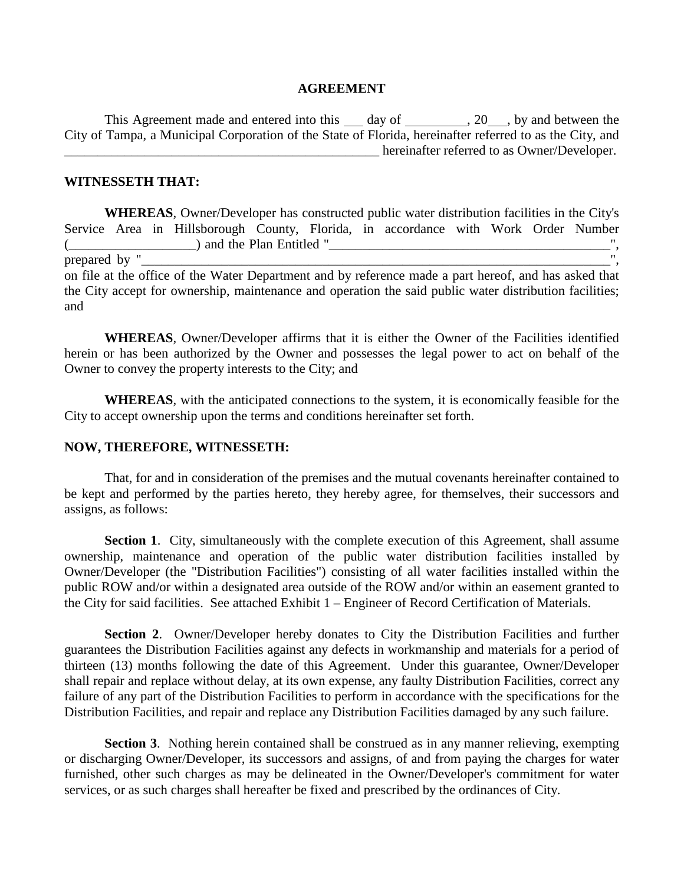## **AGREEMENT**

This Agreement made and entered into this  $\_\_\_day$  of  $\_\_\_\_$ , 20, by and between the City of Tampa, a Municipal Corporation of the State of Florida, hereinafter referred to as the City, and hereinafter referred to as Owner/Developer.

## **WITNESSETH THAT:**

**WHEREAS**, Owner/Developer has constructed public water distribution facilities in the City's Service Area in Hillsborough County, Florida, in accordance with Work Order Number (\_\_\_\_\_\_\_\_\_\_\_\_\_\_\_\_\_\_\_) and the Plan Entitled "\_\_\_\_\_\_\_\_\_\_\_\_\_\_\_\_\_\_\_\_\_\_\_\_\_\_\_\_\_\_\_\_\_\_\_\_\_\_\_\_\_\_", prepared by " on file at the office of the Water Department and by reference made a part hereof, and has asked that the City accept for ownership, maintenance and operation the said public water distribution facilities; and

**WHEREAS**, Owner/Developer affirms that it is either the Owner of the Facilities identified herein or has been authorized by the Owner and possesses the legal power to act on behalf of the Owner to convey the property interests to the City; and

**WHEREAS**, with the anticipated connections to the system, it is economically feasible for the City to accept ownership upon the terms and conditions hereinafter set forth.

#### **NOW, THEREFORE, WITNESSETH:**

That, for and in consideration of the premises and the mutual covenants hereinafter contained to be kept and performed by the parties hereto, they hereby agree, for themselves, their successors and assigns, as follows:

**Section 1.** City, simultaneously with the complete execution of this Agreement, shall assume ownership, maintenance and operation of the public water distribution facilities installed by Owner/Developer (the "Distribution Facilities") consisting of all water facilities installed within the public ROW and/or within a designated area outside of the ROW and/or within an easement granted to the City for said facilities. See attached Exhibit 1 – Engineer of Record Certification of Materials.

**Section 2**. Owner/Developer hereby donates to City the Distribution Facilities and further guarantees the Distribution Facilities against any defects in workmanship and materials for a period of thirteen (13) months following the date of this Agreement. Under this guarantee, Owner/Developer shall repair and replace without delay, at its own expense, any faulty Distribution Facilities, correct any failure of any part of the Distribution Facilities to perform in accordance with the specifications for the Distribution Facilities, and repair and replace any Distribution Facilities damaged by any such failure.

**Section 3**. Nothing herein contained shall be construed as in any manner relieving, exempting or discharging Owner/Developer, its successors and assigns, of and from paying the charges for water furnished, other such charges as may be delineated in the Owner/Developer's commitment for water services, or as such charges shall hereafter be fixed and prescribed by the ordinances of City.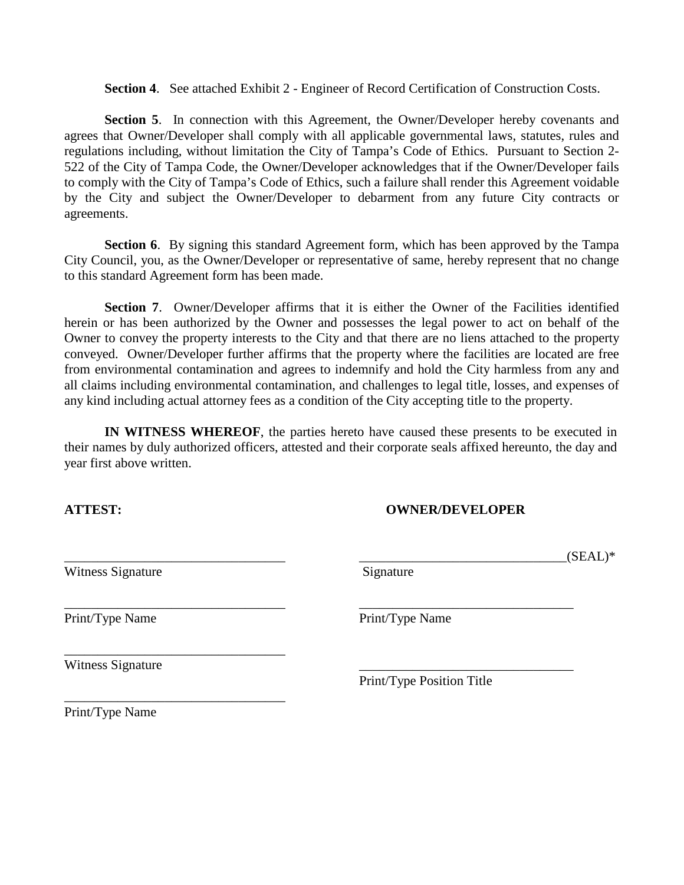**Section 4**. See attached Exhibit 2 - Engineer of Record Certification of Construction Costs.

**Section 5.** In connection with this Agreement, the Owner/Developer hereby covenants and agrees that Owner/Developer shall comply with all applicable governmental laws, statutes, rules and regulations including, without limitation the City of Tampa's Code of Ethics. Pursuant to Section 2- 522 of the City of Tampa Code, the Owner/Developer acknowledges that if the Owner/Developer fails to comply with the City of Tampa's Code of Ethics, such a failure shall render this Agreement voidable by the City and subject the Owner/Developer to debarment from any future City contracts or agreements.

**Section 6.** By signing this standard Agreement form, which has been approved by the Tampa City Council, you, as the Owner/Developer or representative of same, hereby represent that no change to this standard Agreement form has been made.

**Section 7.** Owner/Developer affirms that it is either the Owner of the Facilities identified herein or has been authorized by the Owner and possesses the legal power to act on behalf of the Owner to convey the property interests to the City and that there are no liens attached to the property conveyed. Owner/Developer further affirms that the property where the facilities are located are free from environmental contamination and agrees to indemnify and hold the City harmless from any and all claims including environmental contamination, and challenges to legal title, losses, and expenses of any kind including actual attorney fees as a condition of the City accepting title to the property.

**IN WITNESS WHEREOF**, the parties hereto have caused these presents to be executed in their names by duly authorized officers, attested and their corporate seals affixed hereunto, the day and year first above written.

# **ATTEST: OWNER/DEVELOPER**

\_\_\_\_\_\_\_\_\_\_\_\_\_\_\_\_\_\_\_\_\_\_\_\_\_\_\_\_\_\_\_\_\_ \_\_\_\_\_\_\_\_\_\_\_\_\_\_\_\_\_\_\_\_\_\_\_\_\_\_\_\_\_\_\_(SEAL)\*

Witness Signature Signature Signature

Witness Signature

\_\_\_\_\_\_\_\_\_\_\_\_\_\_\_\_\_\_\_\_\_\_\_\_\_\_\_\_\_\_\_\_\_

\_\_\_\_\_\_\_\_\_\_\_\_\_\_\_\_\_\_\_\_\_\_\_\_\_\_\_\_\_\_\_\_\_

\_\_\_\_\_\_\_\_\_\_\_\_\_\_\_\_\_\_\_\_\_\_\_\_\_\_\_\_\_\_\_\_\_ \_\_\_\_\_\_\_\_\_\_\_\_\_\_\_\_\_\_\_\_\_\_\_\_\_\_\_\_\_\_\_\_ Print/Type Name Print/Type Name

Print/Type Position Title

Print/Type Name